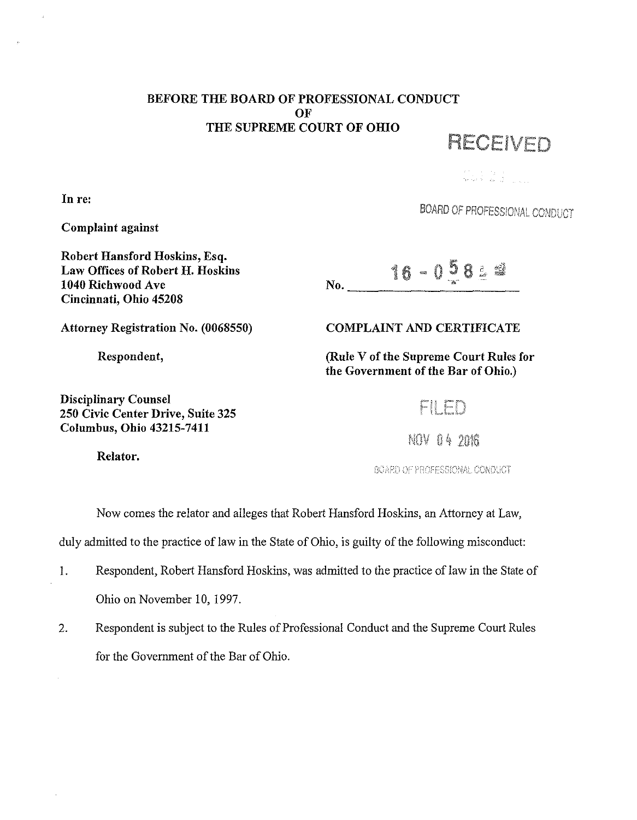## BEFORE THE BOARD OF PROFESSIONAL CONDUCT OF THE SUPREME COURT OF OHIO

**REVER** 

 $\begin{array}{l} \displaystyle \mathcal{E}^{(1)}(\mathbb{Z}_2) = \mathbb{E} \left[ \mathcal{E}^{(1)}(\mathbb{Z}_2) \right] \\ \displaystyle \mathcal{E}^{(2)}(\mathbb{Z}_2) = \mathbb{E} \left[ \mathcal{E}^{(1)}(\mathbb{Z}_2) \right] \\ \displaystyle \mathcal{E}^{(2)}(\mathbb{Z}_2) = \mathcal{E}^{(2)}(\mathbb{Z}_2) \end{array}$ 

**BOARD OF PROFESSIONAL CONDUCT** 

Complaint against

Robert Hansford Hoskins, Esq. Law Offices of Robert H. Hoskins 1040 Richwood Ave Cincinnati, Ohio 45208

## No.  $16-0.58 \leq \frac{12}{10}$

Attorney Registration No. (0068550)

Respondent,

Disciplinary Counsel 250 Civic Center Drive, Suite 325 Columbus, Ohio 43215-7411

COMPLAINT AND CERTIFICATE

(Rule V of the Supreme Court Rules for the Government of the Bar of Ohio.)

FILED

NOV 04 2016

Relator.

BOARD OF PROFESSIONAL CONDUCT

Now comes the relator and alleges that Robert Hansford Hoskins, an Attorney at Law,

duly admitted to the practice of law in the State of Ohio, is guilty of the following misconduct:

- I. Respondent, Robert Hansford Hoskins, was admitted to the practice of law in the State of Ohio on November 10, 1997.
- 2. Respondent is subject to the Rules of Professional Conduct and the Supreme Court Rules for the Government of the Bar of Ohio.

In re:

 $\mu$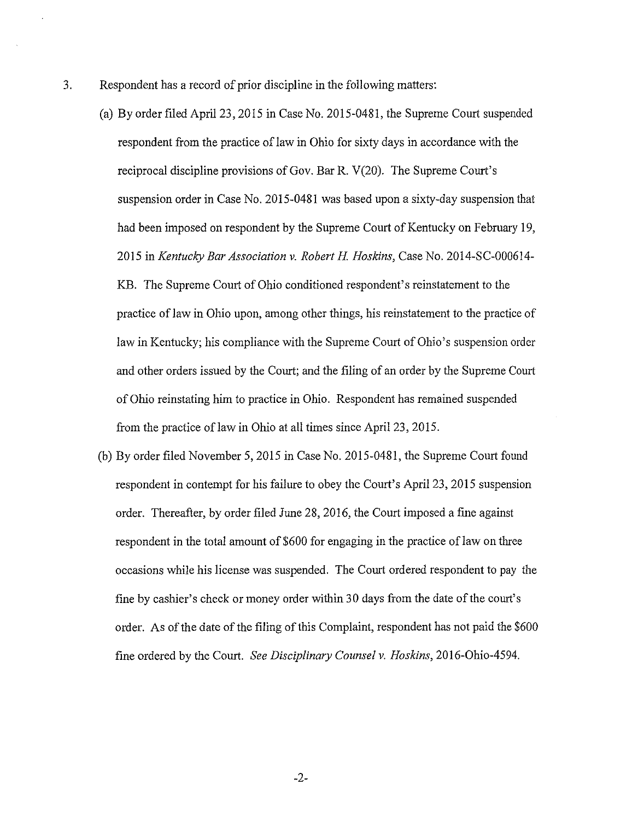- 3. Respondent has a record of prior discipline in the following matters:
	- (a) By order filed April 23, 2015 in Case No. 2015-0481, the Supreme Court suspended respondent from the practice of law in Ohio for sixty days in accordance with the reciprocal discipline provisions of Gov. Bar R. V(20). The Supreme Court's suspension order in Case No. 2015-0481 was based upon a sixty-day suspension that had been imposed on respondent by the Supreme Court of Kentucky on February 19, 2015 in *Kentucky Bar Association v. Robert H Hoskins,* Case No. 2014-SC-000614- KB. The Supreme Court of Ohio conditioned respondent's reinstatement to the practice of law in Ohio upon, among other things, his reinstatement to the practice of law in Kentucky; his compliance with the Supreme Court of Ohio's suspension order and other orders issued by the Court; and the filing of an order by the Supreme Court of Ohio reinstating him to practice in Ohio. Respondent has remained suspended from the practice of law in Ohio at all times since April 23, 2015.
	- (b) By order filed November 5, 2015 in Case No. 2015-0481, the Supreme Court found respondent in contempt for his failure to obey the Court's April 23, 2015 suspension order. Thereafter, by order filed June 28, 2016, the Court imposed a fine against respondent in the total amount of \$600 for engaging in the practice of law on three occasions while his license was suspended. The Court ordered respondent to pay the fine by cashier's check or money order within 30 days from the date of the court's order. As of the date of the filing of this Complaint, respondent has not paid the \$600 fine ordered by the Court. *See Disciplinary Counsel v. Hoskins,* 2016-0hio-4594.

-2-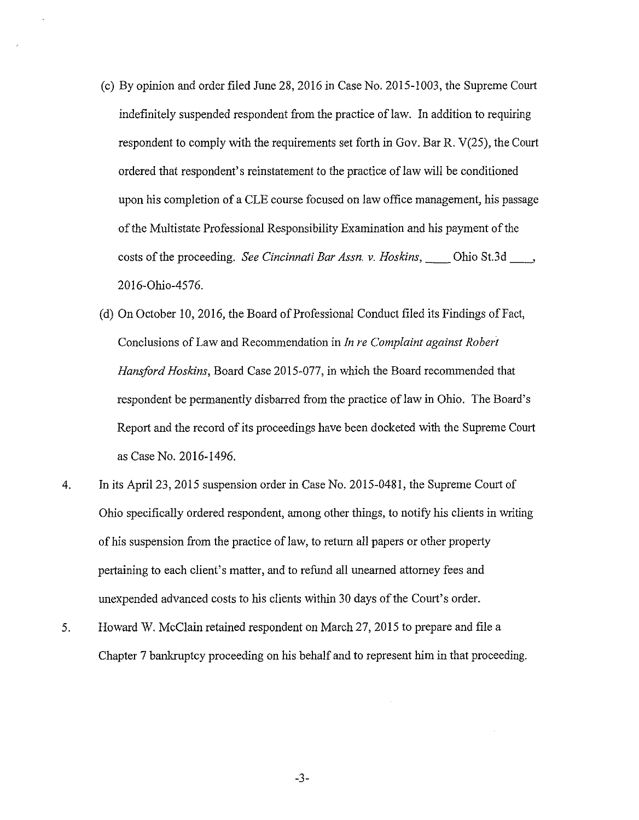- (c) By opinion and order filed June 28, 2016 in Case No. 2015-1003, the Supreme Court indefinitely suspended respondent from the practice of law. In addition to requiring respondent to comply with the requirements set forth in Gov. Bar R. V(25), the Court ordered that respondent's reinstatement to the practice of law will be conditioned upon his completion of a CLE course focused on law office management, his passage of the Multistate Professional Responsibility Examination and his payment of the costs of the proceeding. *See Cincinnati Bar Assn. v. Hoskins, \_\_* Ohio St.3d \_\_, 2016-0hio-4576.
- ( d) On October 10, 2016, the Board of Professional Conduct filed its Findings of Fact, Conclusions of Law and Recommendation in *In re Complaint against Robert Hansford Hoskins,* Board Case 2015-077, in which the Board recommended that respondent be permanently disbarred from the practice of law in Ohio. The Board's Report and the record of its proceedings have been docketed with the Supreme Court as Case No. 2016-1496.
- 4. In its April 23, 2015 suspension order in Case No. 2015-0481, the Supreme Court of Ohio specifically ordered respondent, among other things, to notify his clients in writing of his suspension from the practice of law, to return all papers or other property pertaining to each client's matter, and to refund all unearned attorney fees and unexpended advanced costs to his clients within 30 days of the Court's order.
- 5. Howard W. McClain retained respondent on March 27, 2015 to prepare and file a Chapter 7 bankruptcy proceeding on his behalf and to represent him in that proceeding.

-3-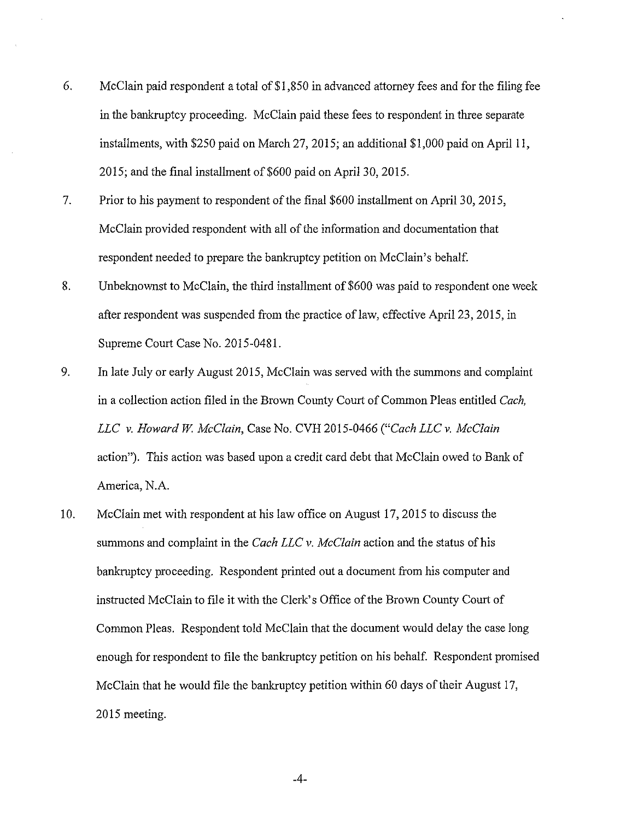- 6. McClain paid respondent a total of\$1,850 in advanced attorney fees and for the filing fee in the bankruptcy proceeding. McClain paid these fees to respondent in three separate installments, with \$250 paid on March 27, 2015; an additional \$1,000 paid on April 11, 2015; and the final installment of \$600 paid on April 30, 2015.
- 7. Prior to his payment to respondent of the final \$600 installment on April 30, 2015, McClain provided respondent with all of the information and documentation that respondent needed to prepare the bankruptcy petition on McClain's behalf.
- 8. Unbeknownst to McClain, the third installment of \$600 was paid to respondent one week after respondent was suspended from the practice of law, effective April 23, 2015, in Supreme Court Case No. 2015-0481.
- 9. In late July or early August 2015, McClain was served with the summons and complaint in a collection action filed in the Brown County Court of Common Pleas entitled *Cach, LLC v. Howard* W. *McClain,* Case No. CVH 2015-0466 *("Cach LLC v. McClain*  action"). This action was based upon a credit card debt that McClain owed to Bank of America, N.A.
- 10. McClain met with respondent at his law office on August 17, 2015 to discuss the summons and complaint in the *Cach LLC v. McClain* action and the status of his bankruptcy proceeding. Respondent printed out a document from his computer and instructed McClain to file it with the Clerk's Office of the Brown County Court of Common Pleas. Respondent told McClain that the document would delay the case long enough for respondent to file the bankruptcy petition on his behalf. Respondent promised McClain that he would file the bankruptcy petition within 60 days of their August 17, 2015 meeting.

-4-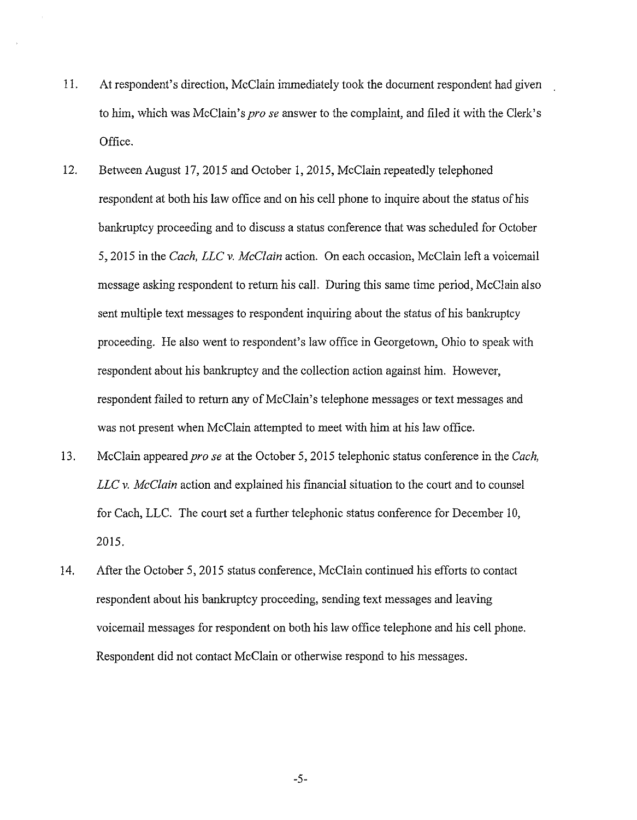- 11. At respondent's direction, McClain immediately took the document respondent had given to him, which was McClain's *prose* answer to the complaint, and filed it with the Clerk's Office.
- 12. Between August 17, 2015 and October 1, 2015, McClain repeatedly telephoned respondent at both his law office and on his cell phone to inquire about the status of his bankruptcy proceeding and to discuss a status conference that was scheduled for October 5, 2015 in the *Cach, LLC v. McClain* action. On each occasion, McClain left a voicemail message asking respondent to return his call. During this same time period, McClain *also*  sent multiple text messages to respondent inquiring about the status of his bankruptcy proceeding. He also went to respondent's law office in Georgetown, Ohio to speak with respondent about his bankruptcy and the collection action against him. However, respondent failed to return any of McClain's telephone messages or text messages and was not present when McClain attempted to meet with him at his law office.
- 13. McClain appeared *prose* at the October 5, 2015 telephonic status conference in the *Cach, LLC v. McClain* action and explained his financial situation to the court and to counsel for Cach, LLC. The court set a further telephonic status conference for December 10, 2015.
- 14. After the October 5, 2015 status conference, McClain continued his efforts to contact respondent about his bankruptcy proceeding, sending text messages and leaving voicemail messages for respondent on both his law office telephone and his cell phone. Respondent did not contact McClain or otherwise respond to his messages.

-5-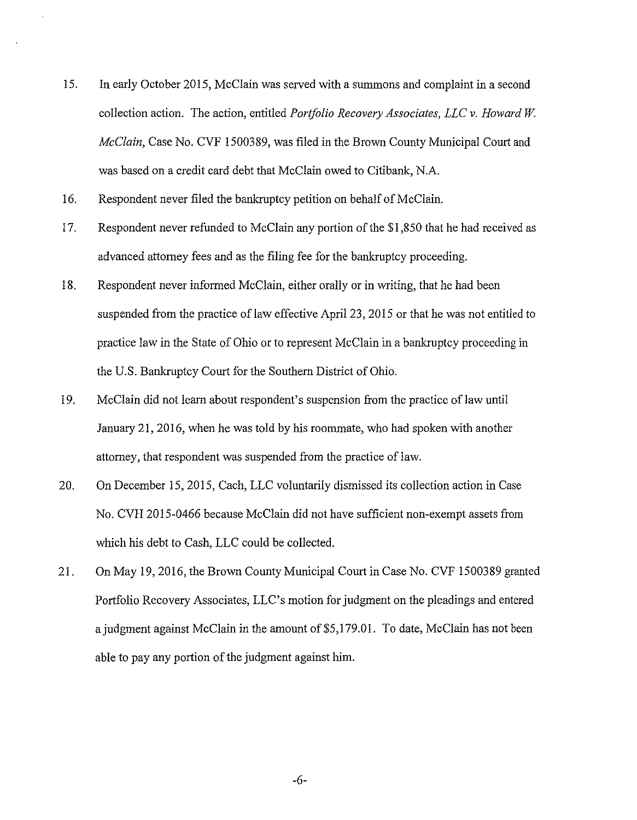- 15. In early October 2015, McClain was served with a summons and complaint in a second collection action. The action, entitled *Portfolio Recovery Associates, LLC v. Howard* W. *McClain,* Case No. CVF 1500389, was filed in the Brown County Municipal Court and was based on a credit card debt that McClain owed to Citibank, N.A.
- 16. Respondent never filed the bankruptcy petition on behalf of McClain.
- 17. Respondent never refunded to McClain any portion of the \$1,850 that he had received as advanced attorney fees and as the filing fee for the bankruptcy proceeding.
- 18. Respondent never informed McClain, either orally or in writing, that he had been suspended from the practice of law effective April 23, 2015 or that he was not entitled to practice law in the State of Ohio or to represent McClain in a bankruptcy proceeding in the U.S. Bankruptcy Court for the Southern District of Ohio.
- 19. McClain did not learn about respondent's suspension from the practice of law until January 21, 2016, when he was told by his roommate, who had spoken with another attorney, that respondent was suspended from the practice of law.
- 20. On December 15, 2015, Cach, LLC voluntarily dismissed its collection action in Case No. CVH 2015-0466 because McClain did not have sufficient non-exempt assets from which his debt to Cash, LLC could be collected.
- 21. On May 19, 2016, the Brown County Municipal Court in Case No. CVF 1500389 granted Portfolio Recovery Associates, LLC's motion for judgment on the pleadings and entered a judgment against McClain in the amount of \$5,179.01. To date, McClain has not been able to pay any portion of the judgment against him.

-6-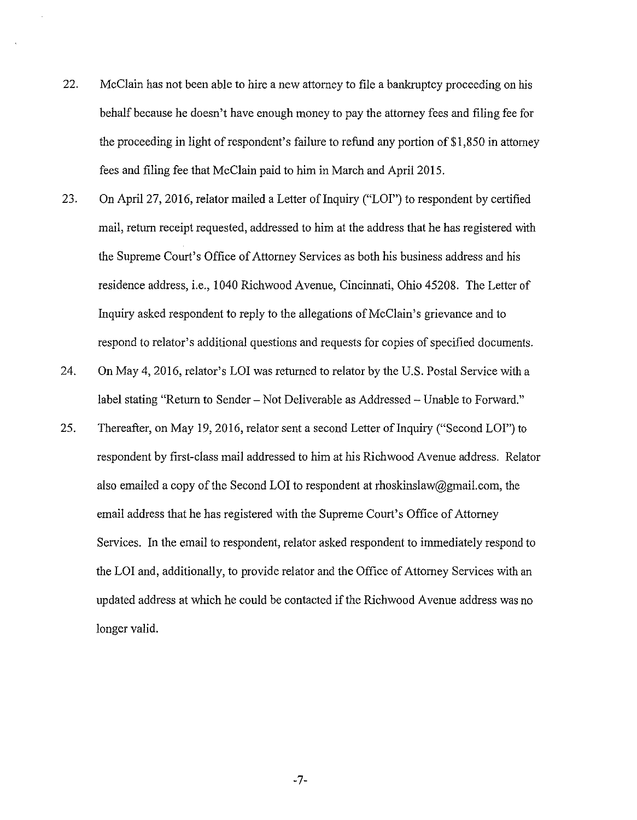- 22. McClain has not been able to hire a new attorney to file a bankruptcy proceeding on his behalf because he doesn't have enough money to pay the attorney fees and filing fee for the proceeding in light of respondent's failure to refund any portion of \$1,850 in attorney fees and filing fee that McClain paid to him in March and April 2015.
- 23. On April 27, 2016, relator mailed a Letter of Inquiry ("LOI") to respondent by certified mail, return receipt requested, addressed to him at the address that he has registered with the Supreme Court's Office of Attorney Services as both his business address and his residence address, i.e., 1040 Richwood Avenue, Cincinnati, Ohio 45208. The Letter of Inquiry asked respondent to reply to the allegations of McClain's grievance and to respond to relator's additional questions and requests for copies of specified documents.
- 24. On May 4, 2016, relator's LOI was returned to relator by the U.S. Postal Service with a label stating "Return to Sender – Not Deliverable as Addressed – Unable to Forward."
- 25. Thereafter, on May 19, 2016, relator sent a second Letter of Inquiry ("Second LOI") to respondent by first-class mail addressed to him at his Richwood Avenue address. Relator also emailed a copy of the Second LOI to respondent at rhoskinslaw@gmail.com, the email address that he has registered with the Supreme Court's Office of Attorney Services. In the email to respondent, relator asked respondent to immediately respond to the LOI and, additionally, to provide relator and the Office of Attorney Services with an updated address at which he could be contacted if the Richwood A venue address was no longer valid.

-7-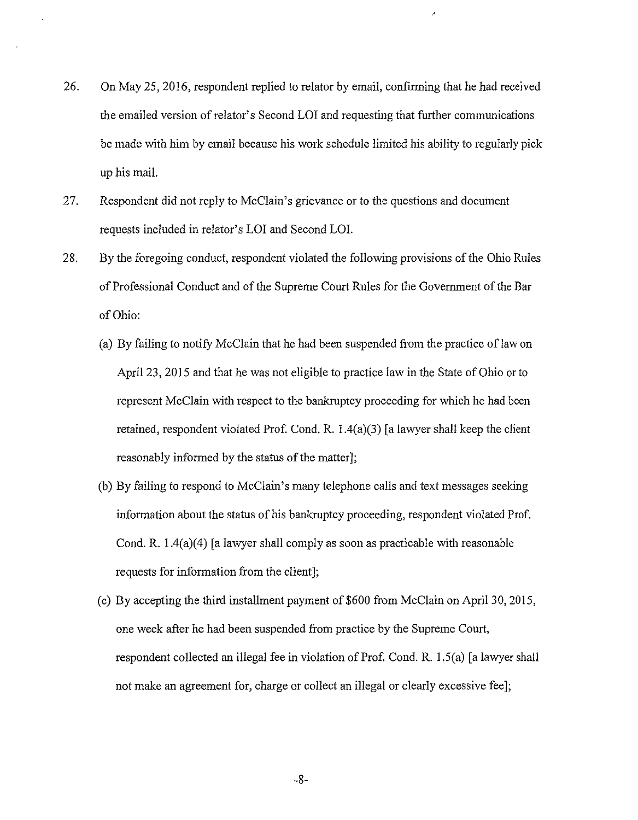26. On May 25, 2016, respondent replied to relator by email, confirming that he had received the emailed version of relater's Second LOI and requesting that further communications be made with him by email because his work schedule limited his ability to regularly pick up his mail.

 $\rho^{\xi}$ 

- 27. Respondent did not reply to McClain's grievance or to the questions and document requests included in relator's LOI and Second LOI.
- 28. By the foregoing conduct, respondent violated the following provisions of the Ohio Rules of Professional Conduct and of the Supreme Court Rules for the Government of the Bar of Ohio:
	- (a) By failing to notify McClain that he had been suspended from the practice of law on April 23, 2015 and that he was not eligible to practice law in the State of Ohio or to represent McClain with respect to the bankruptcy proceeding for which he had been retained, respondent violated Prof. Cond. R.  $1.4(a)(3)$  [a lawyer shall keep the client reasonably informed by the status of the matter];
	- (b) By failing to respond to McClain's many telephone calls and text messages seeking information about the status of his bankruptcy proceeding, respondent violated Prof. Cond. R. l.4(a)(4) [a lawyer shall comply as soon as practicable with reasonable requests for information from the client];
	- (c) By accepting the third installment payment of \$600 from McClain on April 30, 2015, one week after he had been suspended from practice by the Supreme Court, respondent collected an illegal fee in violation of Prof. Cond. R. l .5(a) [a lawyer shall not make an agreement for, charge or collect an illegal or clearly excessive fee.

-8-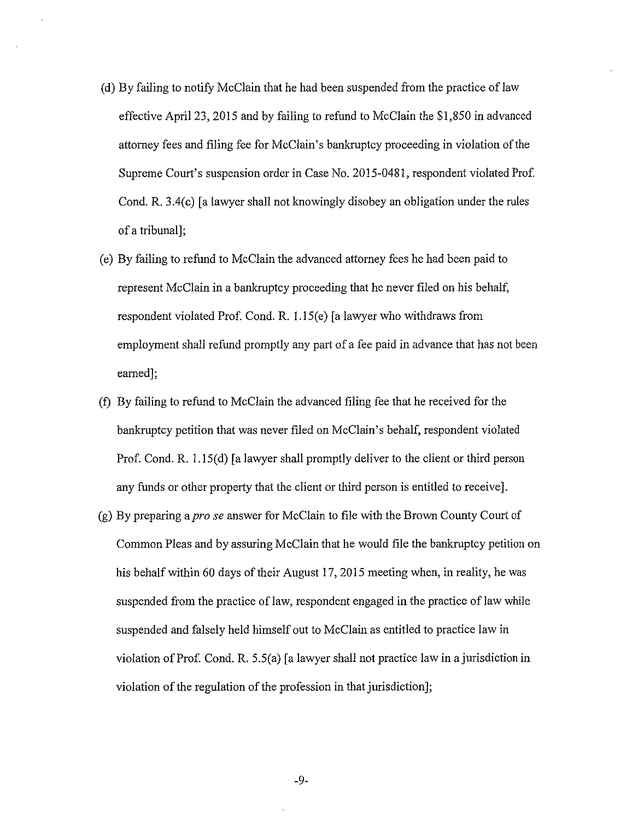- (d) By failing to notify McClain that he had been suspended from the practice of law effective April 23, 2015 and by failing to refund to McClain the \$1,850 in advanced attorney fees and filing fee for McClain's bankruptcy proceeding in violation of the Supreme Court's suspension order in Case No. 2015-0481, respondent violated Prof. Cond. R. 3.4(c) [a lawyer shall not knowingly disobey an obligation under the rules of a tribunal];
- ( e) By failing to refund to McClain the advanced attorney fees he had been paid to represent McClain in a bankruptcy proceeding that he never filed on his behalf, respondent violated Prof. Cond. R. 1.15(e) [a lawyer who withdraws from employment shall refund promptly any part of a fee paid in advance that has not been earned];
- (f) By failing to refund to McClain the advanced filing fee that he received for the bankruptcy petition that was never filed on McClain's behalf, respondent violated Prof. Cond. R. 1.15(d) [a lawyer shall promptly deliver to the client or third person any funds or other property that the client or third person is entitled to receive].
- (g) By preparing a *prose* answer for McClain to file with the Brown County Court of Common Pleas and by assuring McClain that he would file the bankruptcy petition on his behalf within 60 days of their August 17, 2015 meeting when, in reality, he was suspended from the practice of law, respondent engaged in the practice of law while suspended and falsely held himself out to McClain as entitled to practice law in violation of Prof. Cond. R. 5.5(a) [a lawyer shall not practice law in a jurisdiction in violation of the regulation of the profession in that jurisdiction];

-9-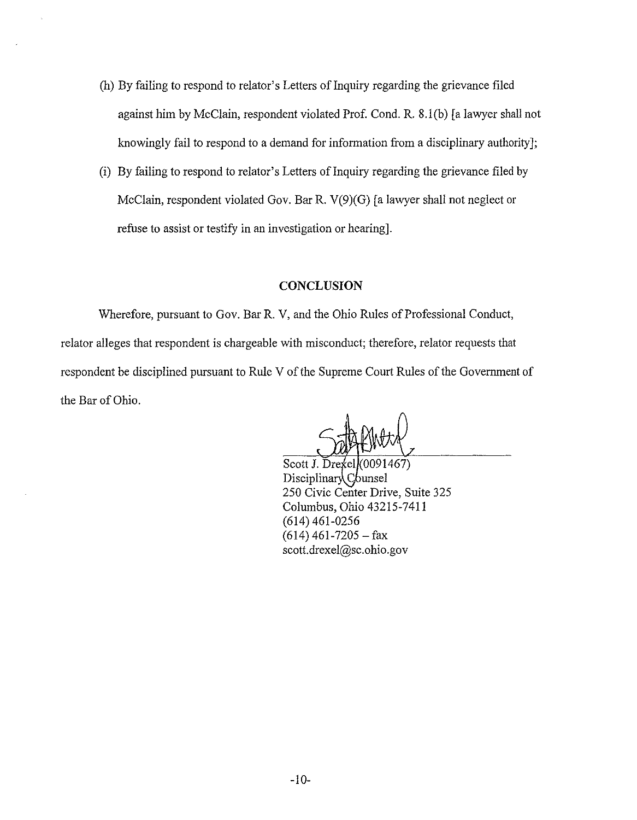- (h) By failing to respond to relator's Letters of Inquiry regarding the grievance filed against him by McClain, respondent violated Prof. Cond. R. 8.l(b) [a lawyer shall not knowingly fail to respond to a demand for information from a disciplinary authority];
- (i) By failing to respond to relator's Letters of Inquiry regarding the grievance filed by McClain, respondent violated Gov. Bar R. V(9)(G) [a lawyer shall not neglect or refuse to assist or testify in an investigation or hearing].

## **CONCLUSION**

Wherefore, pursuant to Gov. Bar R. V, and the Ohio Rules of Professional Conduct, relator alleges that respondent is chargeable with misconduct; therefore, relator requests that respondent be disciplined pursuant to Rule V of the Supreme Court Rules of the Government of the Bar of Ohio.

Scott J.  $\text{Dre}$  el $(0091467)$  $Discript{C}$ bunsel 250 Civic Center Drive, Suite 325 Columbus, Ohio 43215-7411 (614) 461-0256  $(614)$  461-7205 - fax scott.drexel@sc.ohio.gov